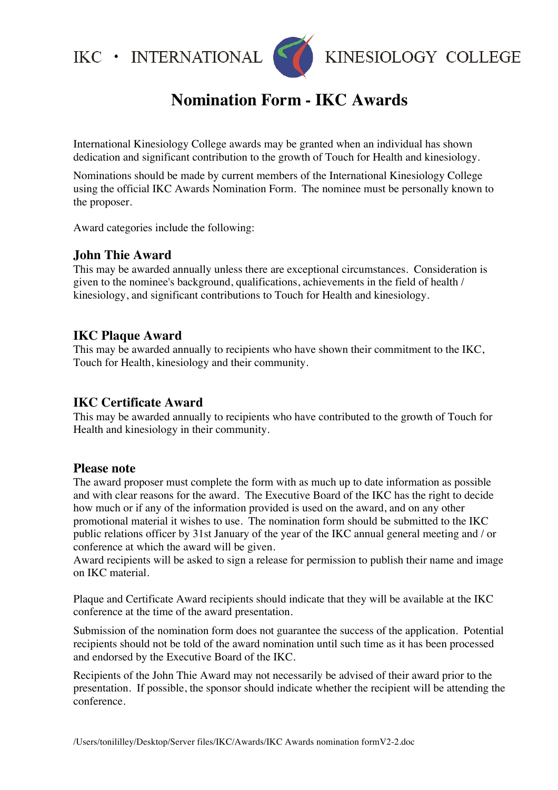$IKC$  • INTERNATIONAL



# **Nomination Form - IKC Awards**

International Kinesiology College awards may be granted when an individual has shown dedication and significant contribution to the growth of Touch for Health and kinesiology.

Nominations should be made by current members of the International Kinesiology College using the official IKC Awards Nomination Form. The nominee must be personally known to the proposer.

Award categories include the following:

### **John Thie Award**

This may be awarded annually unless there are exceptional circumstances. Consideration is given to the nominee's background, qualifications, achievements in the field of health / kinesiology, and significant contributions to Touch for Health and kinesiology.

### **IKC Plaque Award**

This may be awarded annually to recipients who have shown their commitment to the IKC, Touch for Health, kinesiology and their community.

## **IKC Certificate Award**

This may be awarded annually to recipients who have contributed to the growth of Touch for Health and kinesiology in their community.

### **Please note**

The award proposer must complete the form with as much up to date information as possible and with clear reasons for the award. The Executive Board of the IKC has the right to decide how much or if any of the information provided is used on the award, and on any other promotional material it wishes to use. The nomination form should be submitted to the IKC public relations officer by 31st January of the year of the IKC annual general meeting and / or conference at which the award will be given.

Award recipients will be asked to sign a release for permission to publish their name and image on IKC material.

Plaque and Certificate Award recipients should indicate that they will be available at the IKC conference at the time of the award presentation.

Submission of the nomination form does not guarantee the success of the application. Potential recipients should not be told of the award nomination until such time as it has been processed and endorsed by the Executive Board of the IKC.

Recipients of the John Thie Award may not necessarily be advised of their award prior to the presentation. If possible, the sponsor should indicate whether the recipient will be attending the conference.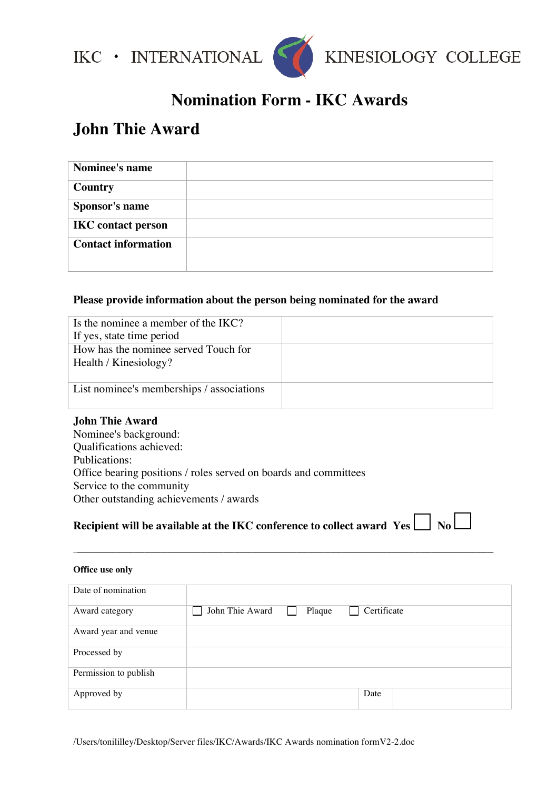



## **Nomination Form - IKC Awards**

# **John Thie Award**

| Nominee's name             |  |
|----------------------------|--|
| <b>Country</b>             |  |
| Sponsor's name             |  |
| <b>IKC</b> contact person  |  |
| <b>Contact information</b> |  |

#### **Please provide information about the person being nominated for the award**

| Is the nominee a member of the IKC?<br>If yes, state time period |  |
|------------------------------------------------------------------|--|
| How has the nominee served Touch for<br>Health / Kinesiology?    |  |
| List nominee's memberships / associations                        |  |

#### **John Thie Award**

Nominee's background: Qualifications achieved: Publications: Office bearing positions / roles served on boards and committees Service to the community Other outstanding achievements / awards

# **Recipient will be available at the IKC conference to collect award**  $\mathbf{Yes} \bigsqcup \mathbf{No} \bigsqcup$

\_\_\_\_\_\_\_\_\_\_\_\_\_\_\_\_\_\_\_\_\_\_\_\_\_\_\_\_\_\_\_\_\_\_\_\_\_\_\_\_\_\_\_\_\_\_\_\_\_\_\_\_\_\_\_\_\_\_\_\_\_\_\_\_\_\_\_\_\_\_\_\_\_\_\_

| Office use only       |                                          |
|-----------------------|------------------------------------------|
| Date of nomination    |                                          |
| Award category        | John Thie Award<br>Certificate<br>Plaque |
| Award year and venue  |                                          |
| Processed by          |                                          |
| Permission to publish |                                          |
| Approved by           | Date                                     |

/Users/tonililley/Desktop/Server files/IKC/Awards/IKC Awards nomination formV2-2.doc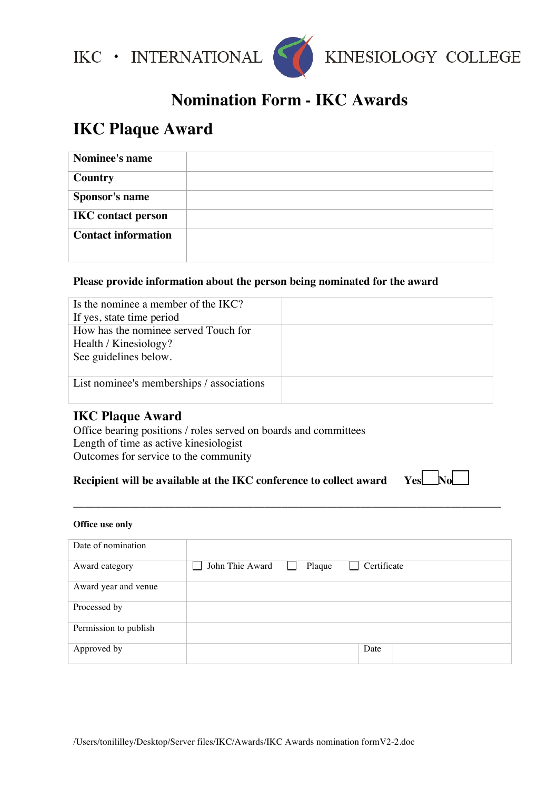



## **Nomination Form - IKC Awards**

# **IKC Plaque Award**

| Nominee's name             |  |
|----------------------------|--|
|                            |  |
| <b>Country</b>             |  |
| Sponsor's name             |  |
| <b>IKC</b> contact person  |  |
| <b>Contact information</b> |  |
|                            |  |
|                            |  |

#### **Please provide information about the person being nominated for the award**

| Is the nominee a member of the IKC?       |  |
|-------------------------------------------|--|
| If yes, state time period                 |  |
| How has the nominee served Touch for      |  |
| Health / Kinesiology?                     |  |
| See guidelines below.                     |  |
|                                           |  |
| List nominee's memberships / associations |  |
|                                           |  |

### **IKC Plaque Award**

Office bearing positions / roles served on boards and committees Length of time as active kinesiologist Outcomes for service to the community

## **Recipient will be available at the IKC conference to collect award Yes No**



#### **Office use only**

| Date of nomination    |                                          |
|-----------------------|------------------------------------------|
| Award category        | John Thie Award<br>Certificate<br>Plaque |
| Award year and venue  |                                          |
| Processed by          |                                          |
| Permission to publish |                                          |
| Approved by           | Date                                     |

\_\_\_\_\_\_\_\_\_\_\_\_\_\_\_\_\_\_\_\_\_\_\_\_\_\_\_\_\_\_\_\_\_\_\_\_\_\_\_\_\_\_\_\_\_\_\_\_\_\_\_\_\_\_\_\_\_\_\_\_\_\_\_\_\_\_\_\_\_\_\_\_\_\_\_\_